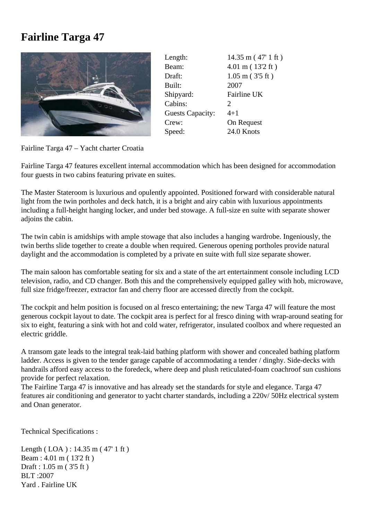## **Fairline Targa 47**



| 14.35 m (47' 1 ft)    |
|-----------------------|
| 4.01 m (13'2 ft)      |
| $1.05$ m ( $3'5$ ft)  |
| 2007                  |
| Fairline UK           |
| $\mathcal{D}_{\cdot}$ |
| $4 + 1$               |
| On Request            |
| 24.0 Knots            |
|                       |

Fairline Targa 47 – Yacht charter Croatia

Fairline Targa 47 features excellent internal accommodation which has been designed for accommodation four guests in two cabins featuring private en suites.

The Master Stateroom is luxurious and opulently appointed. Positioned forward with considerable natural light from the twin portholes and deck hatch, it is a bright and airy cabin with luxurious appointments including a full-height hanging locker, and under bed stowage. A full-size en suite with separate shower adjoins the cabin.

The twin cabin is amidships with ample stowage that also includes a hanging wardrobe. Ingeniously, the twin berths slide together to create a double when required. Generous opening portholes provide natural daylight and the accommodation is completed by a private en suite with full size separate shower.

The main saloon has comfortable seating for six and a state of the art entertainment console including LCD television, radio, and CD changer. Both this and the comprehensively equipped galley with hob, microwave, full size fridge/freezer, extractor fan and cherry floor are accessed directly from the cockpit.

The cockpit and helm position is focused on al fresco entertaining; the new Targa 47 will feature the most generous cockpit layout to date. The cockpit area is perfect for al fresco dining with wrap-around seating for six to eight, featuring a sink with hot and cold water, refrigerator, insulated coolbox and where requested an electric griddle.

A transom gate leads to the integral teak-laid bathing platform with shower and concealed bathing platform ladder. Access is given to the tender garage capable of accommodating a tender / dinghy. Side-decks with handrails afford easy access to the foredeck, where deep and plush reticulated-foam coachroof sun cushions provide for perfect relaxation.

The Fairline Targa 47 is innovative and has already set the standards for style and elegance. Targa 47 features air conditioning and generator to yacht charter standards, including a 220v/ 50Hz electrical system and Onan generator.

Technical Specifications :

Length (LOA): 14.35 m (47' 1 ft) Beam : 4.01 m ( 13'2 ft ) Draft : 1.05 m ( 3'5 ft ) BLT :2007 Yard . Fairline UK